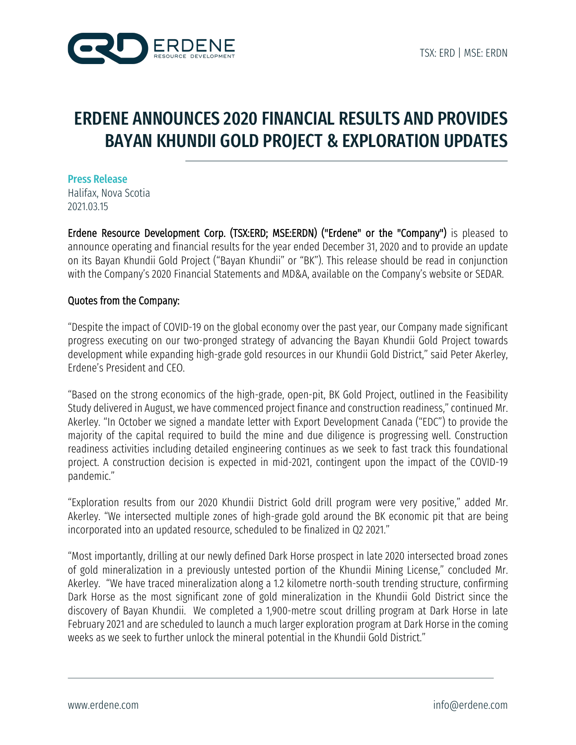

# ERDENE ANNOUNCES 2020 FINANCIAL RESULTS AND PROVIDES BAYAN KHUNDII GOLD PROJECT & EXPLORATION UPDATES

Press Release Halifax, Nova Scotia 2021.03.15

Erdene Resource Development Corp. (TSX:ERD; MSE:ERDN) ("Erdene" or the "Company") is pleased to announce operating and financial results for the year ended December 31, 2020 and to provide an update on its Bayan Khundii Gold Project ("Bayan Khundii" or "BK"). This release should be read in conjunction with the Company's 2020 Financial Statements and MD&A, available on the Company's website or SEDAR.

## Quotes from the Company:

"Despite the impact of COVID-19 on the global economy over the past year, our Company made significant progress executing on our two-pronged strategy of advancing the Bayan Khundii Gold Project towards development while expanding high-grade gold resources in our Khundii Gold District," said Peter Akerley, Erdene's President and CEO.

"Based on the strong economics of the high-grade, open-pit, BK Gold Project, outlined in the Feasibility Study delivered in August, we have commenced project finance and construction readiness,"continued Mr. Akerley. "In October we signed a mandate letter with Export Development Canada ("EDC") to provide the majority of the capital required to build the mine and due diligence is progressing well. Construction readiness activities including detailed engineering continues as we seek to fast track this foundational project. A construction decision is expected in mid-2021, contingent upon the impact of the COVID-19 pandemic."

"Exploration results from our 2020 Khundii District Gold drill program were very positive," added Mr. Akerley. "We intersected multiple zones of high-grade gold around the BK economic pit that are being incorporated into an updated resource, scheduled to be finalized in Q2 2021."

"Most importantly, drilling at our newly defined Dark Horse prospect in late 2020 intersected broad zones of gold mineralization in a previously untested portion of the Khundii Mining License," concluded Mr. Akerley. "We have traced mineralization along a 1.2 kilometre north-south trending structure, confirming Dark Horse as the most significant zone of gold mineralization in the Khundii Gold District since the discovery of Bayan Khundii. We completed a 1,900-metre scout drilling program at Dark Horse in late February 2021 and are scheduled to launch a much larger exploration program at Dark Horse in the coming weeks as we seek to further unlock the mineral potential in the Khundii Gold District."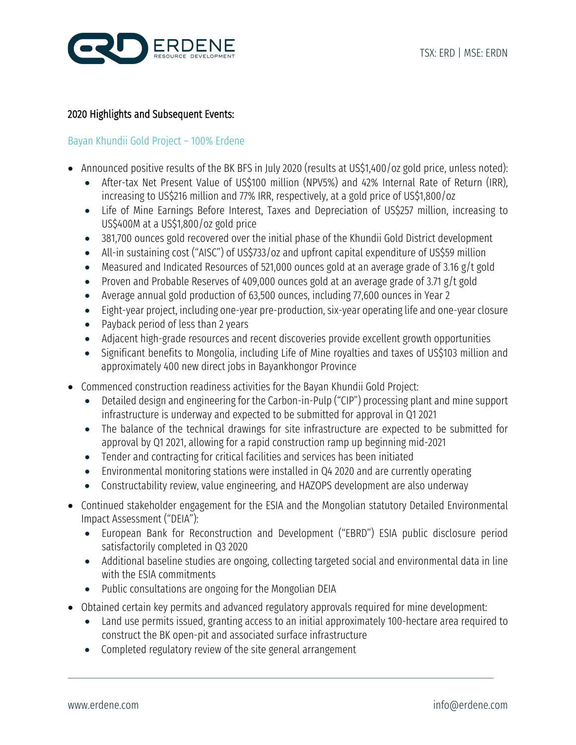

## 2020 Highlights and Subsequent Events:

## Bayan Khundii Gold Project – 100% Erdene

- Announced positive results of the BK BFS in July 2020 (results at US\$1,400/oz gold price, unless noted):
	- After-tax Net Present Value of US\$100 million (NPV5%) and 42% Internal Rate of Return (IRR), increasing to US\$216 million and 77% IRR, respectively, at a gold price of US\$1,800/oz
	- Life of Mine Earnings Before Interest, Taxes and Depreciation of US\$257 million, increasing to US\$400M at a US\$1,800/oz gold price
	- 381,700 ounces gold recovered over the initial phase of the Khundii Gold District development
	- All-in sustaining cost ("AISC") of US\$733/oz and upfront capital expenditure of US\$59 million
	- Measured and Indicated Resources of 521,000 ounces gold at an average grade of 3.16 g/t gold
	- Proven and Probable Reserves of 409,000 ounces gold at an average grade of 3.71 g/t gold
	- Average annual gold production of 63,500 ounces, including 77,600 ounces in Year 2
	- Eight-year project, including one-year pre-production, six-year operating life and one-year closure
	- Payback period of less than 2 years
	- Adjacent high-grade resources and recent discoveries provide excellent growth opportunities
	- Significant benefits to Mongolia, including Life of Mine royalties and taxes of US\$103 million and approximately 400 new direct jobs in Bayankhongor Province
- Commenced construction readiness activities for the Bayan Khundii Gold Project:
	- Detailed design and engineering for the Carbon-in-Pulp ("CIP") processing plant and mine support infrastructure is underway and expected to be submitted for approval in Q1 2021
	- The balance of the technical drawings for site infrastructure are expected to be submitted for approval by Q1 2021, allowing for a rapid construction ramp up beginning mid-2021
	- Tender and contracting for critical facilities and services has been initiated
	- Environmental monitoring stations were installed in Q4 2020 and are currently operating
	- Constructability review, value engineering, and HAZOPS development are also underway
- Continued stakeholder engagement for the ESIA and the Mongolian statutory Detailed Environmental Impact Assessment ("DEIA"):
	- European Bank for Reconstruction and Development ("EBRD") ESIA public disclosure period satisfactorily completed in Q3 2020
	- Additional baseline studies are ongoing, collecting targeted social and environmental data in line with the ESIA commitments
	- Public consultations are ongoing for the Mongolian DEIA
- Obtained certain key permits and advanced regulatory approvals required for mine development:
	- Land use permits issued, granting access to an initial approximately 100-hectare area required to construct the BK open-pit and associated surface infrastructure
	- Completed regulatory review of the site general arrangement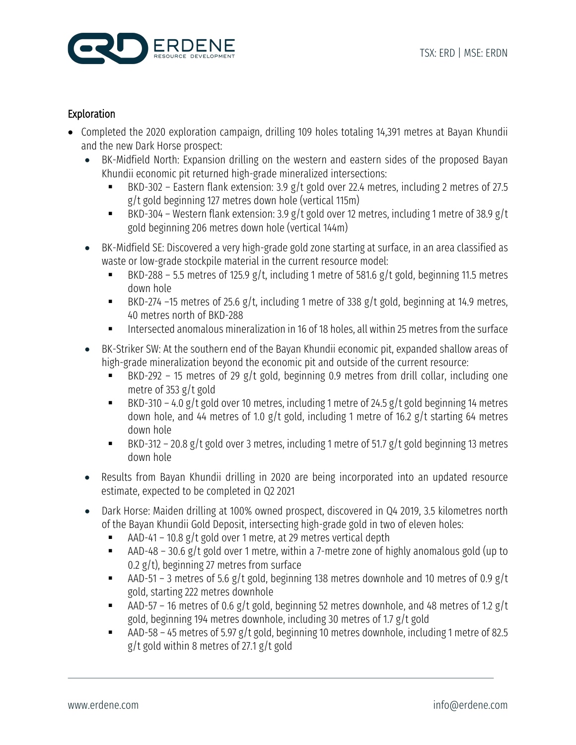

# Exploration

- Completed the 2020 exploration campaign, drilling 109 holes totaling 14,391 metres at Bayan Khundii and the new Dark Horse prospect:
	- BK-Midfield North: Expansion drilling on the western and eastern sides of the proposed Bayan Khundii economic pit returned high-grade mineralized intersections:
		- § BKD-302 Eastern flank extension: 3.9 g/t gold over 22.4 metres, including 2 metres of 27.5 g/t gold beginning 127 metres down hole (vertical 115m)
		- BKD-304 Western flank extension: 3.9 g/t gold over 12 metres, including 1 metre of 38.9 g/t gold beginning 206 metres down hole (vertical 144m)
	- BK-Midfield SE: Discovered a very high-grade gold zone starting at surface, in an area classified as waste or low-grade stockpile material in the current resource model:
		- BKD-288 5.5 metres of 125.9 g/t, including 1 metre of 581.6 g/t gold, beginning 11.5 metres down hole
		- BKD-274 –15 metres of 25.6 g/t, including 1 metre of 338 g/t gold, beginning at 14.9 metres, 40 metres north of BKD-288
		- § Intersected anomalous mineralization in 16 of 18 holes, all within 25 metres from the surface
	- BK-Striker SW: At the southern end of the Bayan Khundii economic pit, expanded shallow areas of high-grade mineralization beyond the economic pit and outside of the current resource:
		- **BKD-292 15 metres of 29 g/t gold, beginning 0.9 metres from drill collar, including one** metre of 353 g/t gold
		- BKD-310 4.0 g/t gold over 10 metres, including 1 metre of 24.5 g/t gold beginning 14 metres down hole, and 44 metres of 1.0 g/t gold, including 1 metre of 16.2 g/t starting 64 metres down hole
		- BKD-312 20.8 g/t gold over 3 metres, including 1 metre of 51.7 g/t gold beginning 13 metres down hole
	- Results from Bayan Khundii drilling in 2020 are being incorporated into an updated resource estimate, expected to be completed in Q2 2021
	- Dark Horse: Maiden drilling at 100% owned prospect, discovered in Q4 2019, 3.5 kilometres north of the Bayan Khundii Gold Deposit, intersecting high-grade gold in two of eleven holes:
		- AAD-41 10.8 g/t gold over 1 metre, at 29 metres vertical depth
		- AAD-48 30.6 g/t gold over 1 metre, within a 7-metre zone of highly anomalous gold (up to 0.2 g/t), beginning 27 metres from surface
		- AAD-51 3 metres of 5.6 g/t gold, beginning 138 metres downhole and 10 metres of 0.9 g/t gold, starting 222 metres downhole
		- AAD-57 16 metres of 0.6 g/t gold, beginning 52 metres downhole, and 48 metres of 1.2 g/t gold, beginning 194 metres downhole, including 30 metres of 1.7 g/t gold
		- AAD-58 45 metres of 5.97 g/t gold, beginning 10 metres downhole, including 1 metre of 82.5 g/t gold within 8 metres of 27.1 g/t gold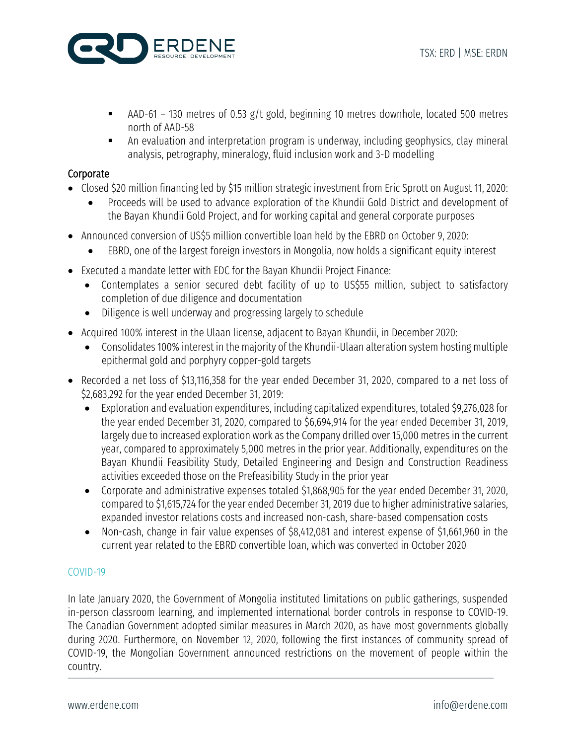

- AAD-61 130 metres of 0.53 g/t gold, beginning 10 metres downhole, located 500 metres north of AAD-58
- § An evaluation and interpretation program is underway, including geophysics, clay mineral analysis, petrography, mineralogy, fluid inclusion work and 3-D modelling

# **Corporate**

- Closed \$20 million financing led by \$15 million strategic investment from Eric Sprott on August 11, 2020:
	- Proceeds will be used to advance exploration of the Khundii Gold District and development of the Bayan Khundii Gold Project, and for working capital and general corporate purposes
- Announced conversion of US\$5 million convertible loan held by the EBRD on October 9, 2020:
	- EBRD, one of the largest foreign investors in Mongolia, now holds a significant equity interest
- Executed a mandate letter with EDC for the Bayan Khundii Project Finance:
	- Contemplates a senior secured debt facility of up to US\$55 million, subject to satisfactory completion of due diligence and documentation
	- Diligence is well underway and progressing largely to schedule
- Acquired 100% interest in the Ulaan license, adjacent to Bayan Khundii, in December 2020:
	- Consolidates 100% interest in the majority of the Khundii-Ulaan alteration system hosting multiple epithermal gold and porphyry copper-gold targets
- Recorded a net loss of \$13,116,358 for the year ended December 31, 2020, compared to a net loss of \$2,683,292 for the year ended December 31, 2019:
	- Exploration and evaluation expenditures, including capitalized expenditures, totaled \$9,276,028 for the year ended December 31, 2020, compared to \$6,694,914 for the year ended December 31, 2019, largely due to increased exploration work as the Company drilled over 15,000 metres in the current year, compared to approximately 5,000 metres in the prior year. Additionally, expenditures on the Bayan Khundii Feasibility Study, Detailed Engineering and Design and Construction Readiness activities exceeded those on the Prefeasibility Study in the prior year
	- Corporate and administrative expenses totaled \$1,868,905 for the year ended December 31, 2020, compared to \$1,615,724 for the year ended December 31, 2019 due to higher administrative salaries, expanded investor relations costs and increased non-cash, share-based compensation costs
	- Non-cash, change in fair value expenses of \$8,412,081 and interest expense of \$1,661,960 in the current year related to the EBRD convertible loan, which was converted in October 2020

# COVID-19

In late January 2020, the Government of Mongolia instituted limitations on public gatherings, suspended in-person classroom learning, and implemented international border controls in response to COVID-19. The Canadian Government adopted similar measures in March 2020, as have most governments globally during 2020. Furthermore, on November 12, 2020, following the first instances of community spread of COVID-19, the Mongolian Government announced restrictions on the movement of people within the country.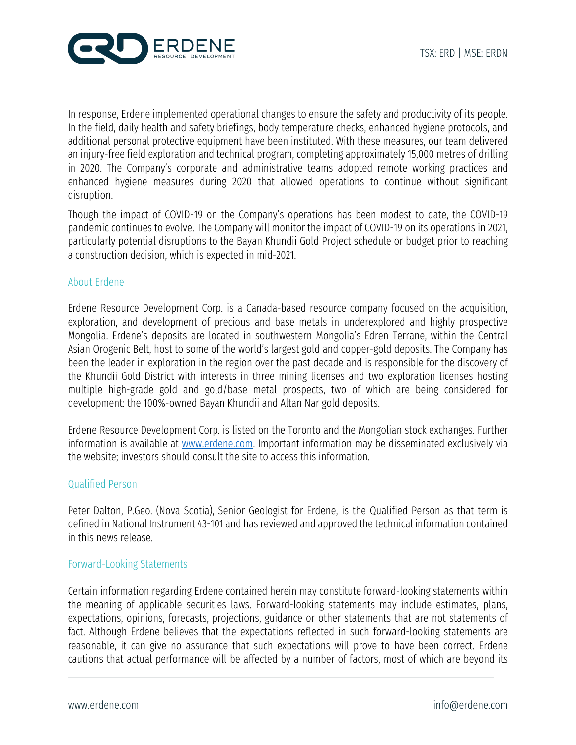

In response, Erdene implemented operational changes to ensure the safety and productivity of its people. In the field, daily health and safety briefings, body temperature checks, enhanced hygiene protocols, and additional personal protective equipment have been instituted. With these measures, our team delivered an injury-free field exploration and technical program, completing approximately 15,000 metres of drilling in 2020. The Company's corporate and administrative teams adopted remote working practices and enhanced hygiene measures during 2020 that allowed operations to continue without significant disruption.

Though the impact of COVID-19 on the Company's operations has been modest to date, the COVID-19 pandemic continues to evolve. The Company will monitor the impact of COVID-19 on its operations in 2021, particularly potential disruptions to the Bayan Khundii Gold Project schedule or budget prior to reaching a construction decision, which is expected in mid-2021.

#### About Erdene

Erdene Resource Development Corp. is a Canada-based resource company focused on the acquisition, exploration, and development of precious and base metals in underexplored and highly prospective Mongolia. Erdene's deposits are located in southwestern Mongolia's Edren Terrane, within the Central Asian Orogenic Belt, host to some of the world's largest gold and copper-gold deposits. The Company has been the leader in exploration in the region over the past decade and is responsible for the discovery of the Khundii Gold District with interests in three mining licenses and two exploration licenses hosting multiple high-grade gold and gold/base metal prospects, two of which are being considered for development: the 100%-owned Bayan Khundii and Altan Nar gold deposits.

Erdene Resource Development Corp. is listed on the Toronto and the Mongolian stock exchanges. Further information is available at www.erdene.com. Important information may be disseminated exclusively via the website; investors should consult the site to access this information.

#### Qualified Person

Peter Dalton, P.Geo. (Nova Scotia), Senior Geologist for Erdene, is the Qualified Person as that term is defined in National Instrument 43-101 and has reviewed and approved the technical information contained in this news release.

## Forward-Looking Statements

Certain information regarding Erdene contained herein may constitute forward-looking statements within the meaning of applicable securities laws. Forward-looking statements may include estimates, plans, expectations, opinions, forecasts, projections, guidance or other statements that are not statements of fact. Although Erdene believes that the expectations reflected in such forward-looking statements are reasonable, it can give no assurance that such expectations will prove to have been correct. Erdene cautions that actual performance will be affected by a number of factors, most of which are beyond its